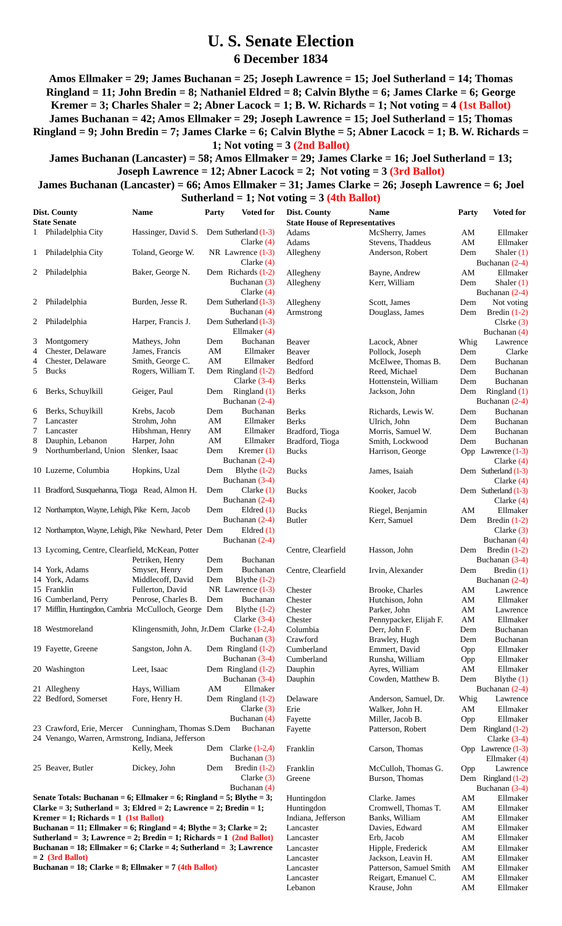## **U. S. Senate Election 6 December 1834**

**Amos Ellmaker = 29; James Buchanan = 25; Joseph Lawrence = 15; Joel Sutherland = 14; Thomas Ringland = 11; John Bredin = 8; Nathaniel Eldred = 8; Calvin Blythe = 6; James Clarke = 6; George Kremer = 3; Charles Shaler = 2; Abner Lacock = 1; B. W. Richards = 1; Not voting = 4 (1st Ballot) James Buchanan = 42; Amos Ellmaker = 29; Joseph Lawrence = 15; Joel Sutherland = 15; Thomas Ringland = 9; John Bredin = 7; James Clarke = 6; Calvin Blythe = 5; Abner Lacock = 1; B. W. Richards = 1; Not voting = 3 (2nd Ballot)**

**James Buchanan (Lancaster) = 58; Amos Ellmaker = 29; James Clarke = 16; Joel Sutherland = 13; Joseph Lawrence = 12; Abner Lacock = 2; Not voting = 3 (3rd Ballot)**

**James Buchanan (Lancaster) = 66; Amos Ellmaker = 31; James Clarke = 26; Joseph Lawrence = 6; Joel**

## **Sutherland = 1; Not voting = 3 (4th Ballot)**

| Dist. County        |                                                                       | Name                                      | Party | <b>Voted for</b>                   | Dist. County                          | <b>Name</b>                              | Party                  | <b>Voted for</b>             |
|---------------------|-----------------------------------------------------------------------|-------------------------------------------|-------|------------------------------------|---------------------------------------|------------------------------------------|------------------------|------------------------------|
| <b>State Senate</b> |                                                                       |                                           |       |                                    | <b>State House of Representatives</b> |                                          |                        |                              |
|                     | 1 Philadelphia City                                                   | Hassinger, David S.                       |       | Dem Sutherland (1-3)               | Adams                                 | McSherry, James                          | AM                     | Ellmaker                     |
|                     |                                                                       |                                           |       | Clarke $(4)$                       | Adams                                 | Stevens, Thaddeus                        | AM                     | Ellmaker                     |
|                     | 1 Philadelphia City                                                   | Toland, George W.                         |       | NR Lawrence $(1-3)$                | Allegheny                             | Anderson, Robert                         | Dem                    | Shaler $(1)$                 |
|                     |                                                                       |                                           |       | Clarke $(4)$                       |                                       |                                          |                        | Buchanan (2-4)               |
|                     | 2 Philadelphia                                                        | Baker, George N.                          |       | Dem Richards (1-2)                 | Allegheny                             | Bayne, Andrew                            | AM                     | Ellmaker                     |
|                     |                                                                       |                                           |       | Buchanan (3)<br>Clarke $(4)$       | Allegheny                             | Kerr, William                            | Dem                    | Shaler $(1)$                 |
|                     | 2 Philadelphia                                                        | Burden, Jesse R.                          |       | Dem Sutherland (1-3)               |                                       |                                          |                        | Buchanan (2-4)               |
|                     |                                                                       |                                           |       | Buchanan (4)                       | Allegheny<br>Armstrong                | Scott, James<br>Douglass, James          | Dem<br>Dem             | Not voting<br>Bredin $(1-2)$ |
| 2                   | Philadelphia                                                          | Harper, Francis J.                        |       | Dem Sutherland (1-3)               |                                       |                                          |                        | $Cls$ rke $(3)$              |
|                     |                                                                       |                                           |       | Ellmaker $(4)$                     |                                       |                                          |                        | Buchanan (4)                 |
| 3                   | Montgomery                                                            | Matheys, John                             | Dem   | Buchanan                           | Beaver                                | Lacock, Abner                            | Whig                   | Lawrence                     |
| 4                   | Chester, Delaware                                                     | James, Francis                            | AM    | Ellmaker                           | Beaver                                | Pollock, Joseph                          | Dem                    | Clarke                       |
| 4                   | Chester, Delaware                                                     | Smith, George C.                          | AM    | Ellmaker                           | Bedford                               | McElwee, Thomas B.                       | Dem                    | Buchanan                     |
| 5                   | <b>Bucks</b>                                                          | Rogers, William T.                        |       | Dem Ringland (1-2)                 | Bedford                               | Reed, Michael                            | Dem                    | Buchanan                     |
|                     |                                                                       |                                           |       | Clarke $(3-4)$                     | <b>Berks</b>                          | Hottenstein, William                     | Dem                    | Buchanan                     |
| 6                   | Berks, Schuylkill                                                     | Geiger, Paul                              | Dem   | Ringland (1)                       | <b>Berks</b>                          | Jackson, John                            | Dem                    | Ringland (1)                 |
|                     |                                                                       |                                           |       | Buchanan (2-4)                     |                                       |                                          |                        | Buchanan (2-4)               |
| 6                   | Berks, Schuylkill                                                     | Krebs, Jacob                              | Dem   | Buchanan                           | <b>Berks</b>                          | Richards, Lewis W.                       | Dem                    | Buchanan                     |
| 7                   | Lancaster                                                             | Strohm, John                              | AM    | Ellmaker                           | <b>Berks</b>                          | Ulrich, John                             | Dem                    | Buchanan                     |
| 7                   | Lancaster                                                             | Hibshman, Henry                           | AM    | Ellmaker                           | Bradford, Tioga                       | Morris, Samuel W.                        | Dem                    | Buchanan                     |
| 8                   | Dauphin, Lebanon                                                      | Harper, John                              | AM    | Ellmaker                           | Bradford, Tioga                       | Smith, Lockwood                          | Dem                    | Buchanan                     |
|                     | 9 Northumberland, Union                                               | Slenker, Isaac                            | Dem   | Kremer $(1)$                       | <b>Bucks</b>                          | Harrison, George                         |                        | Opp Lawrence (1-3)           |
|                     |                                                                       |                                           |       | Buchanan $(2-4)$                   |                                       |                                          |                        | Clarke $(4)$                 |
|                     | 10 Luzerne, Columbia                                                  | Hopkins, Uzal                             | Dem   | Blythe $(1-2)$                     | <b>Bucks</b>                          | James, Isaiah                            |                        | Dem Sutherland (1-3)         |
|                     |                                                                       |                                           |       | Buchanan (3-4)                     |                                       |                                          |                        | Clarke $(4)$                 |
|                     | 11 Bradford, Susquehanna, Tioga Read, Almon H.                        |                                           | Dem   | Clarke $(1)$                       | <b>Bucks</b>                          | Kooker, Jacob                            |                        | Dem Sutherland (1-3)         |
|                     |                                                                       |                                           |       | Buchanan (2-4)                     |                                       |                                          |                        | Clarke $(4)$                 |
|                     | 12 Northampton, Wayne, Lehigh, Pike Kern, Jacob                       |                                           | Dem   | Eldred $(1)$                       | <b>Bucks</b>                          | Riegel, Benjamin                         | AM                     | Ellmaker                     |
|                     | 12 Northampton, Wayne, Lehigh, Pike Newhard, Peter Dem                |                                           |       | Buchanan $(2-4)$<br>Eldred $(1)$   | <b>Butler</b>                         | Kerr, Samuel                             | Dem                    | Bredin $(1-2)$               |
|                     |                                                                       |                                           |       | Buchanan (2-4)                     |                                       |                                          |                        | Clarke $(3)$<br>Buchanan (4) |
|                     | 13 Lycoming, Centre, Clearfield, McKean, Potter                       |                                           |       |                                    | Centre, Clearfield                    | Hasson, John                             | Dem                    | Bredin $(1-2)$               |
|                     |                                                                       | Petriken, Henry                           | Dem   | Buchanan                           |                                       |                                          |                        | Buchanan (3-4)               |
|                     | 14 York, Adams                                                        | Smyser, Henry                             | Dem   | Buchanan                           | Centre, Clearfield                    | Irvin, Alexander                         | Dem                    | Bredin $(1)$                 |
|                     | 14 York, Adams                                                        | Middlecoff, David                         | Dem   | Blythe $(1-2)$                     |                                       |                                          |                        | Buchanan (2-4)               |
|                     | 15 Franklin                                                           | Fullerton, David                          |       | NR Lawrence $(1-3)$                | Chester                               | Brooke, Charles                          | AM                     | Lawrence                     |
|                     | 16 Cumberland, Perry                                                  | Penrose, Charles B.                       | Dem   | Buchanan                           | Chester                               | Hutchison, John                          | AM                     | Ellmaker                     |
|                     | 17 Mifflin, Huntingdon, Cambria McCulloch, George Dem                 |                                           |       | Blythe $(1-2)$                     | Chester                               | Parker, John                             | AM                     | Lawrence                     |
|                     |                                                                       |                                           |       | Clarke $(3-4)$                     | Chester                               | Pennypacker, Elijah F.                   | $\mathbf{A}\mathbf{M}$ | Ellmaker                     |
|                     | 18 Westmoreland                                                       | Klingensmith, John, Jr.Dem Clarke (1-2,4) |       |                                    | Columbia                              | Derr, John F.                            | Dem                    | Buchanan                     |
|                     |                                                                       |                                           |       | Buchanan (3)                       | Crawford                              | Brawley, Hugh                            | Dem                    | Buchanan                     |
|                     | 19 Fayette, Greene                                                    | Sangston, John A.                         |       | Dem Ringland (1-2)                 | Cumberland                            | Emmert, David                            | Opp                    | Ellmaker                     |
|                     |                                                                       |                                           |       | Buchanan (3-4)                     | Cumberland                            | Runsha, William                          | Opp                    | Ellmaker                     |
|                     | 20 Washington                                                         | Leet, Isaac                               |       | Dem Ringland (1-2)                 | Dauphin                               | Ayres, William                           | AM                     | Ellmaker                     |
|                     |                                                                       |                                           |       | Buchanan (3-4)                     | Dauphin                               | Cowden, Matthew B.                       | Dem                    | Blythe $(1)$                 |
|                     | 21 Allegheny<br>22 Bedford, Somerset                                  | Hays, William                             | AM    | Ellmaker                           |                                       |                                          |                        | Buchanan (2-4)               |
|                     |                                                                       | Fore, Henry H.                            |       | Dem Ringland (1-2)<br>Clarke $(3)$ | Delaware<br>Erie                      | Anderson, Samuel, Dr.<br>Walker, John H. | Whig<br>AM             | Lawrence<br>Ellmaker         |
|                     |                                                                       |                                           |       | Buchanan (4)                       | Fayette                               | Miller, Jacob B.                         |                        | Ellmaker                     |
|                     | 23 Crawford, Erie, Mercer                                             | Cunningham, Thomas S.Dem                  |       | Buchanan                           | Fayette                               | Patterson, Robert                        | Opp<br>Dem             | Ringland $(1-2)$             |
|                     | 24 Venango, Warren, Armstrong, Indiana, Jefferson                     |                                           |       |                                    |                                       |                                          |                        | Clarke $(3-4)$               |
|                     |                                                                       | Kelly, Meek                               |       | Dem Clarke $(1-2,4)$               | Franklin                              | Carson, Thomas                           |                        | Opp Lawrence $(1-3)$         |
|                     |                                                                       |                                           |       | Buchanan (3)                       |                                       |                                          |                        | Ellmaker $(4)$               |
|                     | 25 Beaver, Butler                                                     | Dickey, John                              | Dem   | Bredin $(1-2)$                     | Franklin                              | McCulloh, Thomas G.                      | Opp                    | Lawrence                     |
|                     |                                                                       |                                           |       | Clarke $(3)$                       | Greene                                | Burson, Thomas                           |                        | Dem Ringland (1-2)           |
|                     |                                                                       |                                           |       | Buchanan (4)                       |                                       |                                          |                        | Buchanan $(3-4)$             |
|                     | Senate Totals: Buchanan = 6; Ellmaker = 6; Ringland = 5; Blythe = 3;  |                                           |       |                                    | Huntingdon                            | Clarke. James                            | AM                     | Ellmaker                     |
|                     | Clarke = 3; Sutherland = 3; Eldred = 2; Lawrence = 2; Bredin = 1;     |                                           |       |                                    | Huntingdon                            | Cromwell, Thomas T.                      | AM                     | Ellmaker                     |
|                     | Kremer = 1; Richards = $1$ (1st Ballot)                               |                                           |       |                                    | Indiana, Jefferson                    | Banks, William                           | AM                     | Ellmaker                     |
|                     | Buchanan = 11; Ellmaker = 6; Ringland = 4; Blythe = 3; Clarke = 2;    |                                           |       |                                    | Lancaster                             | Davies, Edward                           | AM                     | Ellmaker                     |
|                     | Sutherland = 3; Lawrence = 2; Bredin = 1; Richards = 1 $(2nd$ Ballot) |                                           |       |                                    | Lancaster                             | Erb, Jacob                               | AM                     | Ellmaker                     |
|                     | Buchanan = 18; Ellmaker = 6; Clarke = 4; Sutherland = 3; Lawrence     |                                           |       |                                    | Lancaster                             | Hipple, Frederick                        | AM                     | Ellmaker                     |
|                     | $= 2$ (3rd Ballot)                                                    |                                           |       |                                    | Lancaster                             | Jackson, Leavin H.                       | $\mathbf{A}\mathbf{M}$ | Ellmaker                     |
|                     | Buchanan = 18; Clarke = 8; Ellmaker = 7 (4th Ballot)                  |                                           |       |                                    | Lancaster                             | Patterson, Samuel Smith                  | AM                     | Ellmaker                     |
|                     |                                                                       |                                           |       |                                    | Lancaster                             | Reigart, Emanuel C.                      | AM                     | Ellmaker                     |

Lebanon Krause, John AM Ellmaker